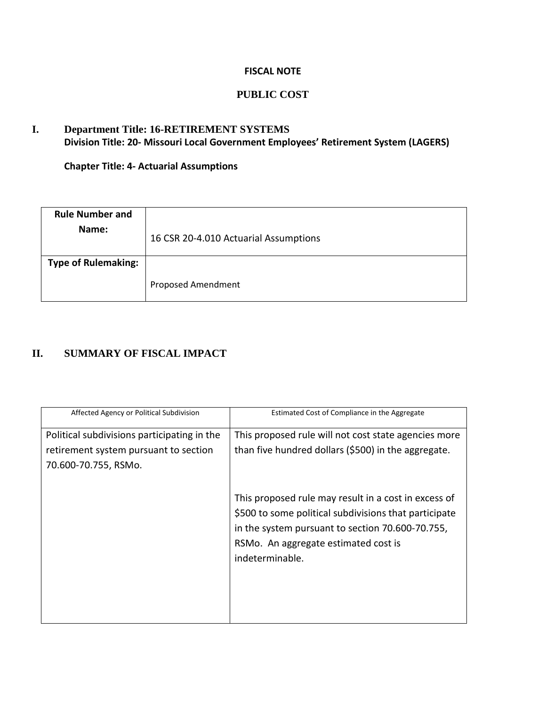### **FISCAL NOTE**

### **PUBLIC COST**

## **I. Department Title: 16-RETIREMENT SYSTEMS Division Title: 20- Missouri Local Government Employees' Retirement System (LAGERS)**

**Chapter Title: 4- Actuarial Assumptions**

| <b>Rule Number and</b><br>Name: | 16 CSR 20-4.010 Actuarial Assumptions |
|---------------------------------|---------------------------------------|
| <b>Type of Rulemaking:</b>      |                                       |
|                                 | <b>Proposed Amendment</b>             |

# **II. SUMMARY OF FISCAL IMPACT**

| Affected Agency or Political Subdivision                                                                     | Estimated Cost of Compliance in the Aggregate                                                                                                                                                                                |
|--------------------------------------------------------------------------------------------------------------|------------------------------------------------------------------------------------------------------------------------------------------------------------------------------------------------------------------------------|
| Political subdivisions participating in the<br>retirement system pursuant to section<br>70.600-70.755, RSMo. | This proposed rule will not cost state agencies more<br>than five hundred dollars (\$500) in the aggregate.                                                                                                                  |
|                                                                                                              | This proposed rule may result in a cost in excess of<br>\$500 to some political subdivisions that participate<br>in the system pursuant to section 70.600-70.755,<br>RSMo. An aggregate estimated cost is<br>indeterminable. |